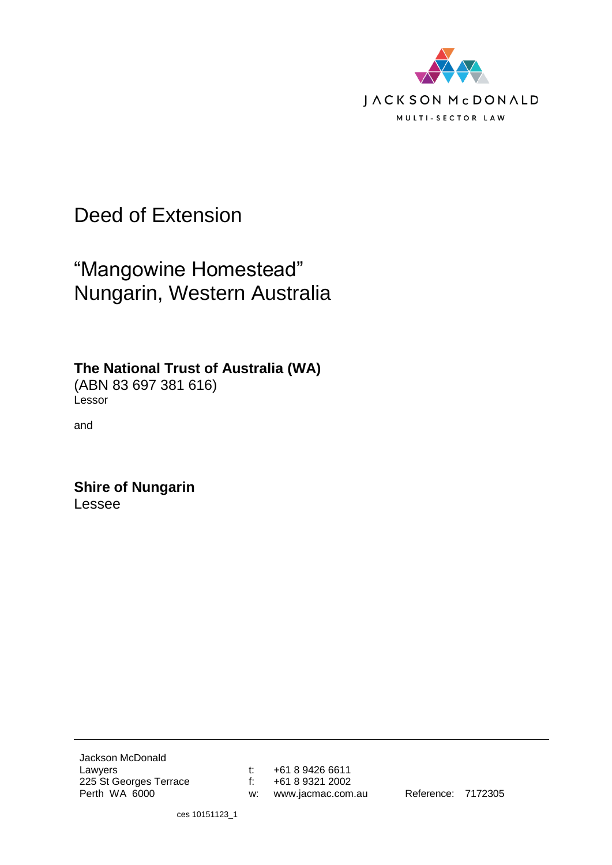

# Deed of Extension

# "Mangowine Homestead" Nungarin, Western Australia

**The National Trust of Australia (WA)**

(ABN 83 697 381 616) Lessor

and

**Shire of Nungarin** Lessee

Jackson McDonald Lawyers 225 St Georges Terrace Perth WA 6000

t: +61 8 9426 6611 f: +61 8 9321 2002 w: www.jacmac.com.au Reference: 7172305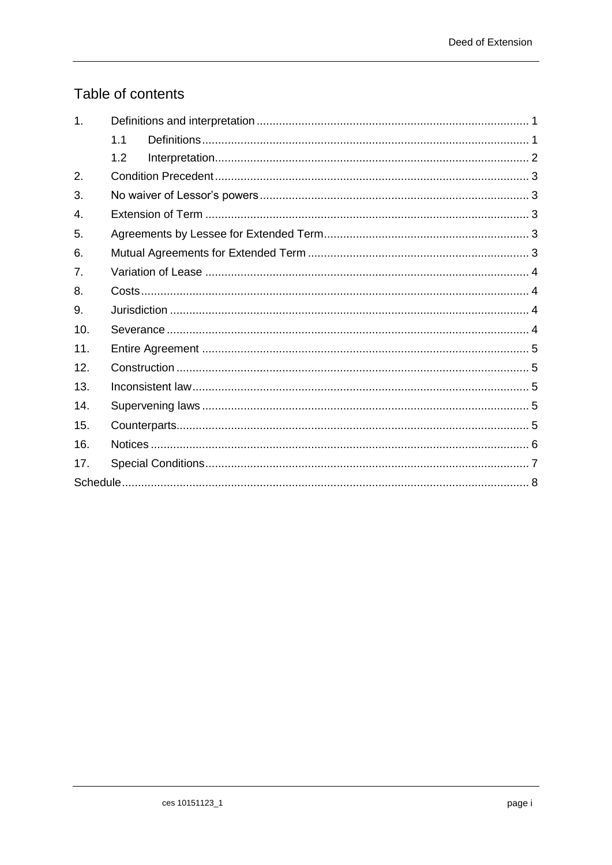# Table of contents

| $\mathbf 1$ . |     |  |
|---------------|-----|--|
|               | 1.1 |  |
|               | 1.2 |  |
| 2.            |     |  |
| 3.            |     |  |
| 4.            |     |  |
| 5.            |     |  |
| 6.            |     |  |
| 7.            |     |  |
| 8.            |     |  |
| 9.            |     |  |
| 10.           |     |  |
| 11.           |     |  |
| 12.           |     |  |
| 13.           |     |  |
| 14.           |     |  |
| 15.           |     |  |
| 16.           |     |  |
| 17.           |     |  |
|               |     |  |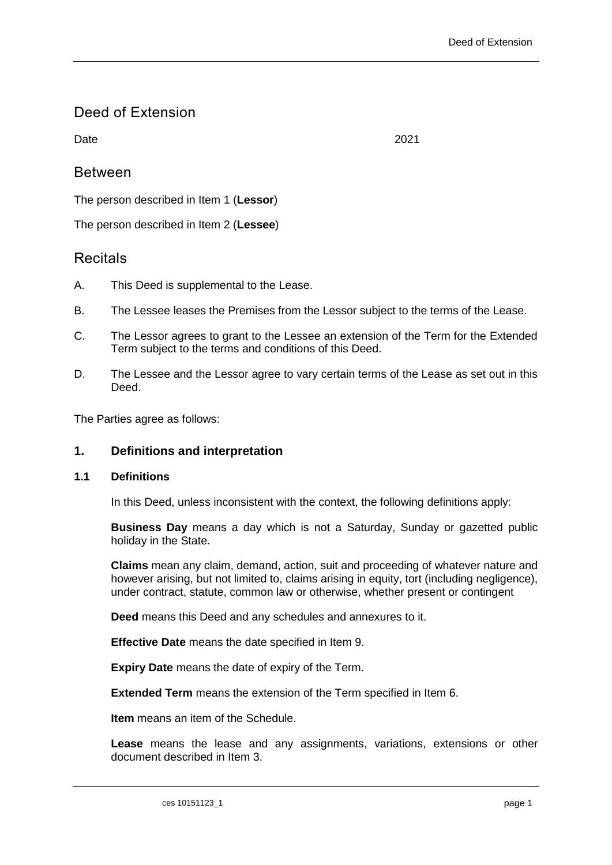# Deed of Extension

Date 2021

# Between

The person described in [Item 1](#page-9-1) (**Lessor**)

The person described in [Item 2](#page-9-2) (**Lessee**)

# **Recitals**

- A. This Deed is supplemental to the Lease.
- B. The Lessee leases the Premises from the Lessor subject to the terms of the Lease.
- C. The Lessor agrees to grant to the Lessee an extension of the Term for the Extended Term subject to the terms and conditions of this Deed.
- D. The Lessee and the Lessor agree to vary certain terms of the Lease as set out in this Deed.

<span id="page-2-0"></span>The Parties agree as follows:

# **1. Definitions and interpretation**

#### <span id="page-2-1"></span>**1.1 Definitions**

In this Deed, unless inconsistent with the context, the following definitions apply:

**Business Day** means a day which is not a Saturday, Sunday or gazetted public holiday in the State.

**Claims** mean any claim, demand, action, suit and proceeding of whatever nature and however arising, but not limited to, claims arising in equity, tort (including negligence), under contract, statute, common law or otherwise, whether present or contingent

**Deed** means this Deed and any schedules and annexures to it.

**Effective Date** means the date specified in [Item 9.](#page-9-3)

**Expiry Date** means the date of expiry of the Term.

**Extended Term** means the extension of the Term specified in [Item 6.](#page-9-4)

**Item** means an item of the Schedule.

**Lease** means the lease and any assignments, variations, extensions or other document described in [Item 3.](#page-9-5)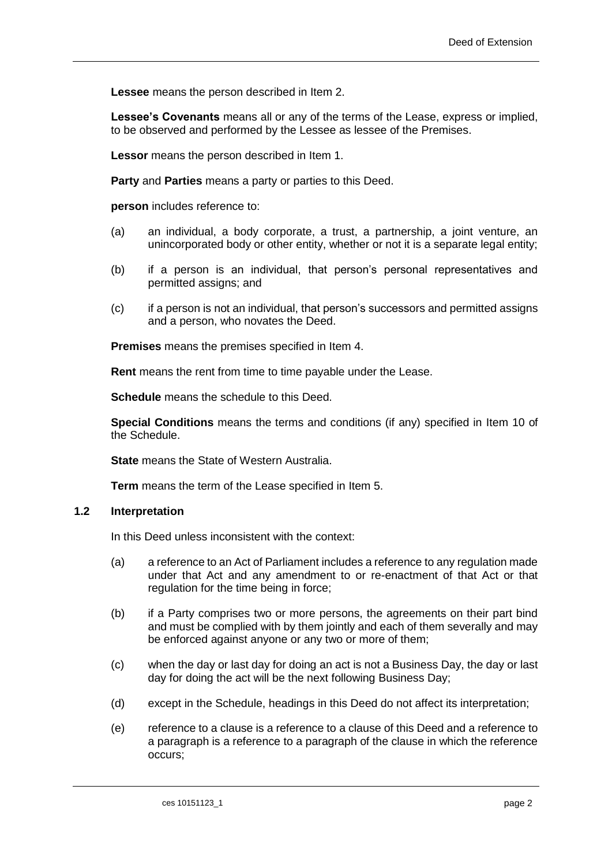**Lessee** means the person described in [Item 2.](#page-9-2)

**Lessee's Covenants** means all or any of the terms of the Lease, express or implied, to be observed and performed by the Lessee as lessee of the Premises.

**Lessor** means the person described in [Item 1.](#page-9-1)

**Party** and **Parties** means a party or parties to this Deed.

**person** includes reference to:

- (a) an individual, a body corporate, a trust, a partnership, a joint venture, an unincorporated body or other entity, whether or not it is a separate legal entity;
- (b) if a person is an individual, that person's personal representatives and permitted assigns; and
- (c) if a person is not an individual, that person's successors and permitted assigns and a person, who novates the Deed.

**Premises** means the premises specified in [Item 4.](#page-9-6)

**Rent** means the rent from time to time payable under the Lease.

**Schedule** means the schedule to this Deed.

**Special Conditions** means the terms and conditions (if any) specified in [Item 10](#page-10-0) of the Schedule.

**State** means the State of Western Australia.

**Term** means the term of the Lease specified in [Item 5.](#page-9-7)

### <span id="page-3-0"></span>**1.2 Interpretation**

In this Deed unless inconsistent with the context:

- (a) a reference to an Act of Parliament includes a reference to any regulation made under that Act and any amendment to or re-enactment of that Act or that regulation for the time being in force;
- (b) if a Party comprises two or more persons, the agreements on their part bind and must be complied with by them jointly and each of them severally and may be enforced against anyone or any two or more of them;
- (c) when the day or last day for doing an act is not a Business Day, the day or last day for doing the act will be the next following Business Day;
- (d) except in the Schedule, headings in this Deed do not affect its interpretation;
- (e) reference to a clause is a reference to a clause of this Deed and a reference to a paragraph is a reference to a paragraph of the clause in which the reference occurs;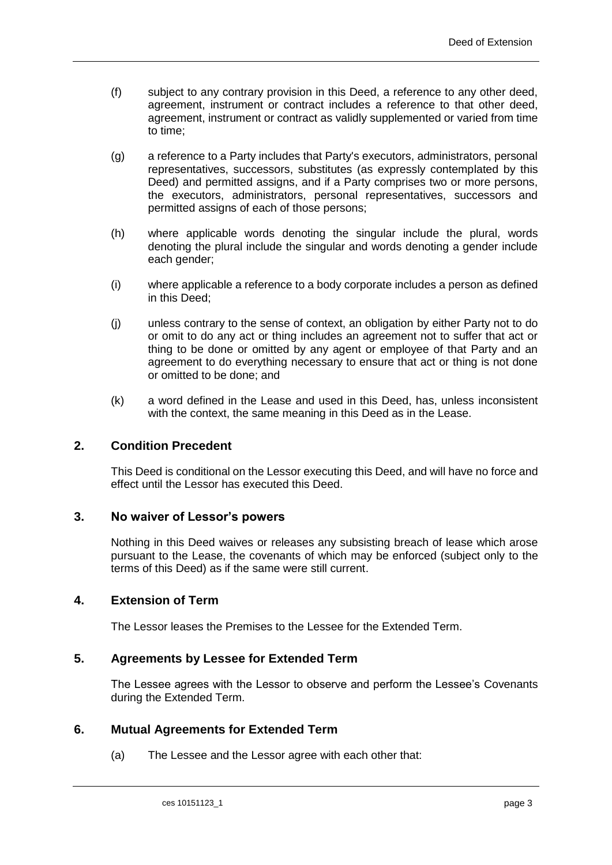- (f) subject to any contrary provision in this Deed, a reference to any other deed, agreement, instrument or contract includes a reference to that other deed, agreement, instrument or contract as validly supplemented or varied from time to time;
- (g) a reference to a Party includes that Party's executors, administrators, personal representatives, successors, substitutes (as expressly contemplated by this Deed) and permitted assigns, and if a Party comprises two or more persons, the executors, administrators, personal representatives, successors and permitted assigns of each of those persons;
- (h) where applicable words denoting the singular include the plural, words denoting the plural include the singular and words denoting a gender include each gender;
- (i) where applicable a reference to a body corporate includes a person as defined in this Deed;
- (j) unless contrary to the sense of context, an obligation by either Party not to do or omit to do any act or thing includes an agreement not to suffer that act or thing to be done or omitted by any agent or employee of that Party and an agreement to do everything necessary to ensure that act or thing is not done or omitted to be done; and
- (k) a word defined in the Lease and used in this Deed, has, unless inconsistent with the context, the same meaning in this Deed as in the Lease.

### <span id="page-4-0"></span>**2. Condition Precedent**

This Deed is conditional on the Lessor executing this Deed, and will have no force and effect until the Lessor has executed this Deed.

#### <span id="page-4-1"></span>**3. No waiver of Lessor's powers**

Nothing in this Deed waives or releases any subsisting breach of lease which arose pursuant to the Lease, the covenants of which may be enforced (subject only to the terms of this Deed) as if the same were still current.

#### <span id="page-4-2"></span>**4. Extension of Term**

The Lessor leases the Premises to the Lessee for the Extended Term.

# <span id="page-4-3"></span>**5. Agreements by Lessee for Extended Term**

The Lessee agrees with the Lessor to observe and perform the Lessee's Covenants during the Extended Term.

#### <span id="page-4-5"></span><span id="page-4-4"></span>**6. Mutual Agreements for Extended Term**

(a) The Lessee and the Lessor agree with each other that: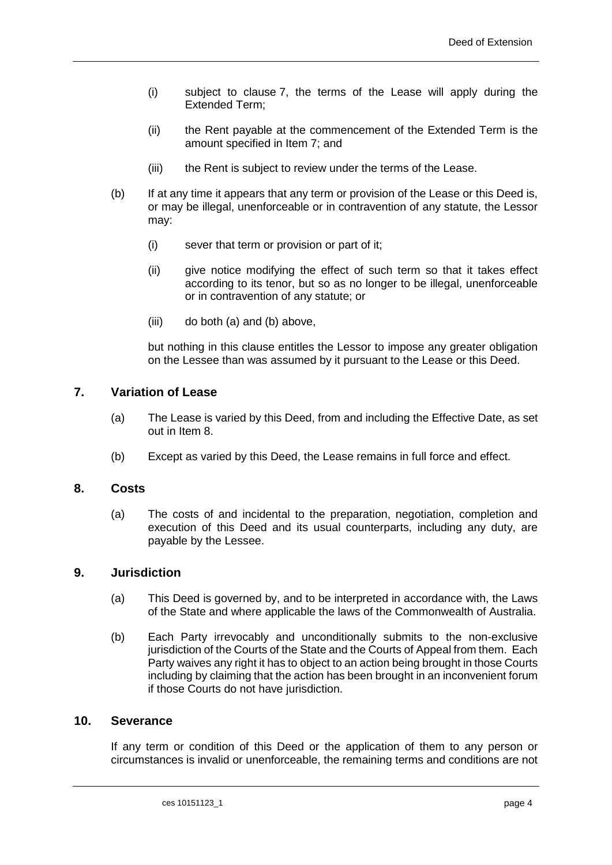- (i) subject to clause [7,](#page-5-0) the terms of the Lease will apply during the Extended Term;
- (ii) the Rent payable at the commencement of the Extended Term is the amount specified in [Item 7;](#page-9-8) and
- (iii) the Rent is subject to review under the terms of the Lease.
- <span id="page-5-4"></span>(b) If at any time it appears that any term or provision of the Lease or this Deed is, or may be illegal, unenforceable or in contravention of any statute, the Lessor may:
	- (i) sever that term or provision or part of it;
	- (ii) give notice modifying the effect of such term so that it takes effect according to its tenor, but so as no longer to be illegal, unenforceable or in contravention of any statute; or
	- (iii) do both [\(a\)](#page-4-5) and [\(b\)](#page-5-4) above,

but nothing in this clause entitles the Lessor to impose any greater obligation on the Lessee than was assumed by it pursuant to the Lease or this Deed.

#### <span id="page-5-0"></span>**7. Variation of Lease**

- (a) The Lease is varied by this Deed, from and including the Effective Date, as set out in [Item 8.](#page-9-9)
- (b) Except as varied by this Deed, the Lease remains in full force and effect.

#### <span id="page-5-1"></span>**8. Costs**

(a) The costs of and incidental to the preparation, negotiation, completion and execution of this Deed and its usual counterparts, including any duty, are payable by the Lessee.

#### <span id="page-5-2"></span>**9. Jurisdiction**

- (a) This Deed is governed by, and to be interpreted in accordance with, the Laws of the State and where applicable the laws of the Commonwealth of Australia.
- (b) Each Party irrevocably and unconditionally submits to the non-exclusive jurisdiction of the Courts of the State and the Courts of Appeal from them. Each Party waives any right it has to object to an action being brought in those Courts including by claiming that the action has been brought in an inconvenient forum if those Courts do not have jurisdiction.

#### <span id="page-5-3"></span>**10. Severance**

If any term or condition of this Deed or the application of them to any person or circumstances is invalid or unenforceable, the remaining terms and conditions are not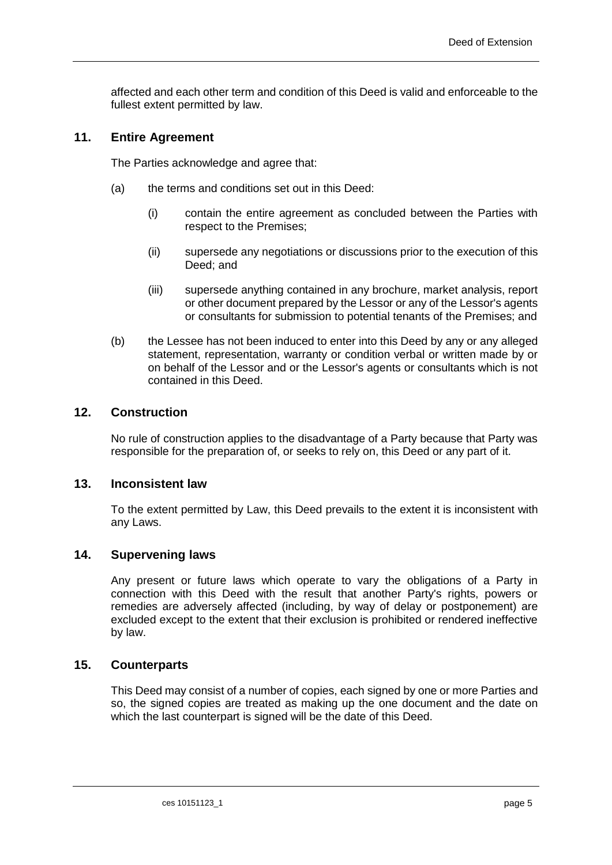affected and each other term and condition of this Deed is valid and enforceable to the fullest extent permitted by law.

#### <span id="page-6-0"></span>**11. Entire Agreement**

The Parties acknowledge and agree that:

- (a) the terms and conditions set out in this Deed:
	- (i) contain the entire agreement as concluded between the Parties with respect to the Premises;
	- (ii) supersede any negotiations or discussions prior to the execution of this Deed; and
	- (iii) supersede anything contained in any brochure, market analysis, report or other document prepared by the Lessor or any of the Lessor's agents or consultants for submission to potential tenants of the Premises; and
- (b) the Lessee has not been induced to enter into this Deed by any or any alleged statement, representation, warranty or condition verbal or written made by or on behalf of the Lessor and or the Lessor's agents or consultants which is not contained in this Deed.

### <span id="page-6-1"></span>**12. Construction**

No rule of construction applies to the disadvantage of a Party because that Party was responsible for the preparation of, or seeks to rely on, this Deed or any part of it.

#### <span id="page-6-2"></span>**13. Inconsistent law**

To the extent permitted by Law, this Deed prevails to the extent it is inconsistent with any Laws.

#### <span id="page-6-3"></span>**14. Supervening laws**

Any present or future laws which operate to vary the obligations of a Party in connection with this Deed with the result that another Party's rights, powers or remedies are adversely affected (including, by way of delay or postponement) are excluded except to the extent that their exclusion is prohibited or rendered ineffective by law.

### <span id="page-6-4"></span>**15. Counterparts**

This Deed may consist of a number of copies, each signed by one or more Parties and so, the signed copies are treated as making up the one document and the date on which the last counterpart is signed will be the date of this Deed.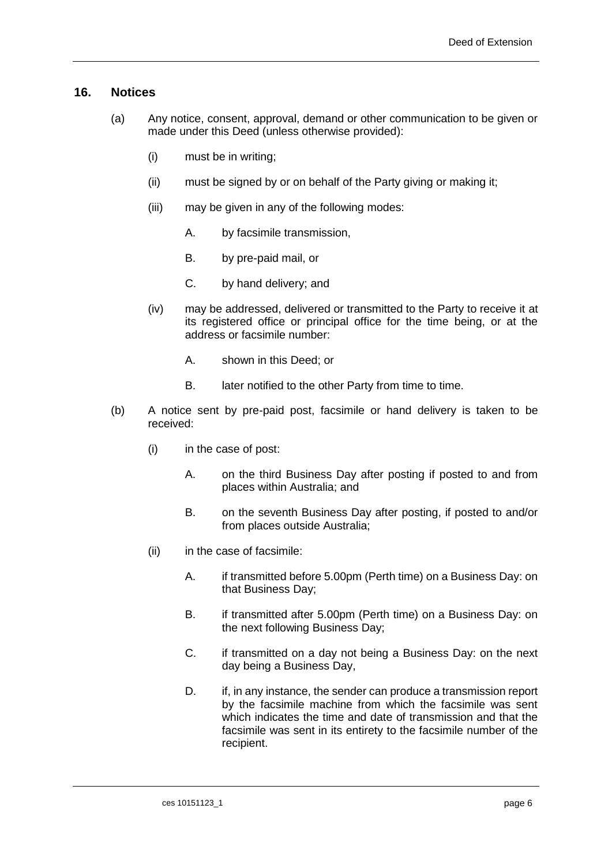#### <span id="page-7-0"></span>**16. Notices**

- (a) Any notice, consent, approval, demand or other communication to be given or made under this Deed (unless otherwise provided):
	- (i) must be in writing;
	- (ii) must be signed by or on behalf of the Party giving or making it;
	- (iii) may be given in any of the following modes:
		- A. by facsimile transmission,
		- B. by pre-paid mail, or
		- C. by hand delivery; and
	- (iv) may be addressed, delivered or transmitted to the Party to receive it at its registered office or principal office for the time being, or at the address or facsimile number:
		- A. shown in this Deed; or
		- B. later notified to the other Party from time to time.
- (b) A notice sent by pre-paid post, facsimile or hand delivery is taken to be received:
	- (i) in the case of post:
		- A. on the third Business Day after posting if posted to and from places within Australia; and
		- B. on the seventh Business Day after posting, if posted to and/or from places outside Australia;
	- (ii) in the case of facsimile:
		- A. if transmitted before 5.00pm (Perth time) on a Business Day: on that Business Day;
		- B. if transmitted after 5.00pm (Perth time) on a Business Day: on the next following Business Day;
		- C. if transmitted on a day not being a Business Day: on the next day being a Business Day,
		- D. if, in any instance, the sender can produce a transmission report by the facsimile machine from which the facsimile was sent which indicates the time and date of transmission and that the facsimile was sent in its entirety to the facsimile number of the recipient.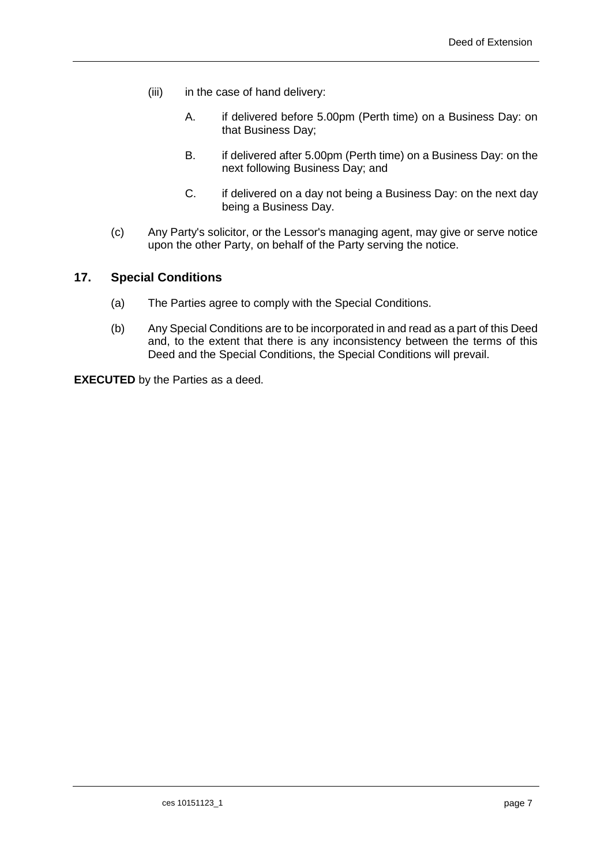- (iii) in the case of hand delivery:
	- A. if delivered before 5.00pm (Perth time) on a Business Day: on that Business Day;
	- B. if delivered after 5.00pm (Perth time) on a Business Day: on the next following Business Day; and
	- C. if delivered on a day not being a Business Day: on the next day being a Business Day.
- (c) Any Party's solicitor, or the Lessor's managing agent, may give or serve notice upon the other Party, on behalf of the Party serving the notice.

### <span id="page-8-0"></span>**17. Special Conditions**

- (a) The Parties agree to comply with the Special Conditions.
- (b) Any Special Conditions are to be incorporated in and read as a part of this Deed and, to the extent that there is any inconsistency between the terms of this Deed and the Special Conditions, the Special Conditions will prevail.

**EXECUTED** by the Parties as a deed.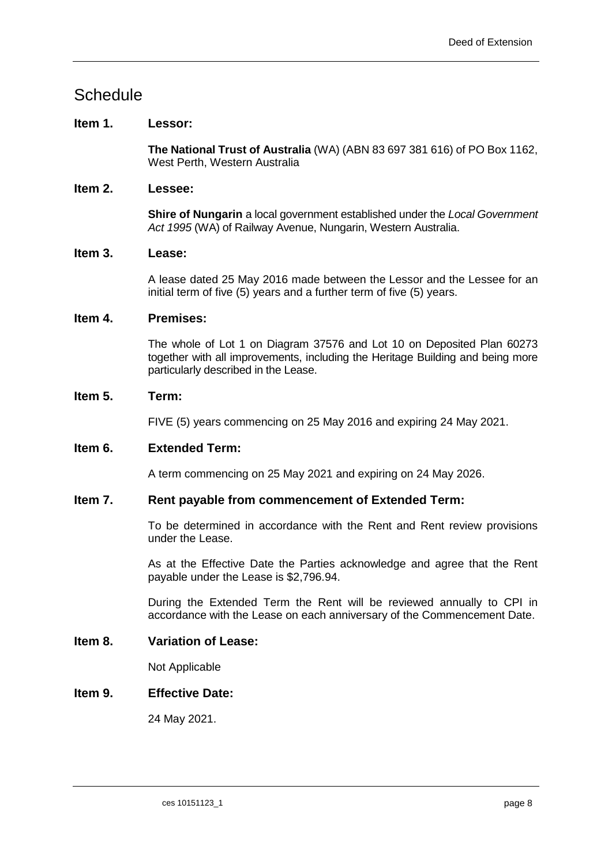# <span id="page-9-0"></span>**Schedule**

# <span id="page-9-1"></span>**Item 1. Lessor:**

**The National Trust of Australia** (WA) (ABN 83 697 381 616) of PO Box 1162, West Perth, Western Australia

### <span id="page-9-2"></span>**Item 2. Lessee:**

**Shire of Nungarin** a local government established under the *Local Government Act 1995* (WA) of Railway Avenue, Nungarin, Western Australia.

#### <span id="page-9-5"></span>**Item 3. Lease:**

A lease dated 25 May 2016 made between the Lessor and the Lessee for an initial term of five (5) years and a further term of five (5) years.

#### <span id="page-9-6"></span>**Item 4. Premises:**

The whole of Lot 1 on Diagram 37576 and Lot 10 on Deposited Plan 60273 together with all improvements, including the Heritage Building and being more particularly described in the Lease.

#### <span id="page-9-7"></span>**Item 5. Term:**

FIVE (5) years commencing on 25 May 2016 and expiring 24 May 2021.

#### <span id="page-9-4"></span>**Item 6. Extended Term:**

A term commencing on 25 May 2021 and expiring on 24 May 2026.

#### <span id="page-9-8"></span>**Item 7. Rent payable from commencement of Extended Term:**

To be determined in accordance with the Rent and Rent review provisions under the Lease.

As at the Effective Date the Parties acknowledge and agree that the Rent payable under the Lease is \$2,796.94.

During the Extended Term the Rent will be reviewed annually to CPI in accordance with the Lease on each anniversary of the Commencement Date.

#### <span id="page-9-9"></span>**Item 8. Variation of Lease:**

Not Applicable

# <span id="page-9-3"></span>**Item 9. Effective Date:**

24 May 2021.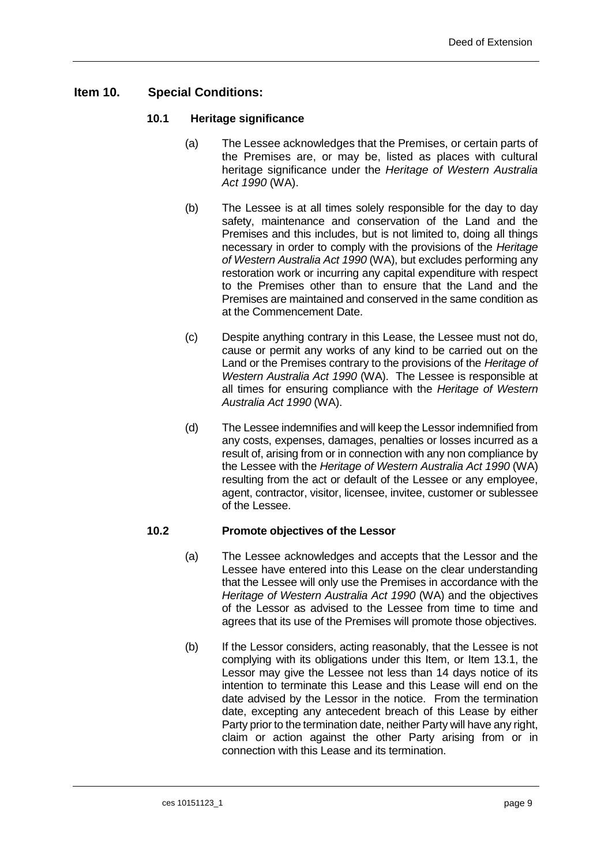# <span id="page-10-0"></span>**Item 10. Special Conditions:**

#### **10.1 Heritage significance**

- (a) The Lessee acknowledges that the Premises, or certain parts of the Premises are, or may be, listed as places with cultural heritage significance under the *Heritage of Western Australia Act 1990* (WA).
- (b) The Lessee is at all times solely responsible for the day to day safety, maintenance and conservation of the Land and the Premises and this includes, but is not limited to, doing all things necessary in order to comply with the provisions of the *Heritage of Western Australia Act 1990* (WA), but excludes performing any restoration work or incurring any capital expenditure with respect to the Premises other than to ensure that the Land and the Premises are maintained and conserved in the same condition as at the Commencement Date.
- (c) Despite anything contrary in this Lease, the Lessee must not do, cause or permit any works of any kind to be carried out on the Land or the Premises contrary to the provisions of the *Heritage of Western Australia Act 1990* (WA). The Lessee is responsible at all times for ensuring compliance with the *Heritage of Western Australia Act 1990* (WA).
- (d) The Lessee indemnifies and will keep the Lessor indemnified from any costs, expenses, damages, penalties or losses incurred as a result of, arising from or in connection with any non compliance by the Lessee with the *Heritage of Western Australia Act 1990* (WA) resulting from the act or default of the Lessee or any employee, agent, contractor, visitor, licensee, invitee, customer or sublessee of the Lessee.

#### **10.2 Promote objectives of the Lessor**

- (a) The Lessee acknowledges and accepts that the Lessor and the Lessee have entered into this Lease on the clear understanding that the Lessee will only use the Premises in accordance with the *Heritage of Western Australia Act 1990* (WA) and the objectives of the Lessor as advised to the Lessee from time to time and agrees that its use of the Premises will promote those objectives.
- (b) If the Lessor considers, acting reasonably, that the Lessee is not complying with its obligations under this Item, or Item 13.1, the Lessor may give the Lessee not less than 14 days notice of its intention to terminate this Lease and this Lease will end on the date advised by the Lessor in the notice. From the termination date, excepting any antecedent breach of this Lease by either Party prior to the termination date, neither Party will have any right, claim or action against the other Party arising from or in connection with this Lease and its termination.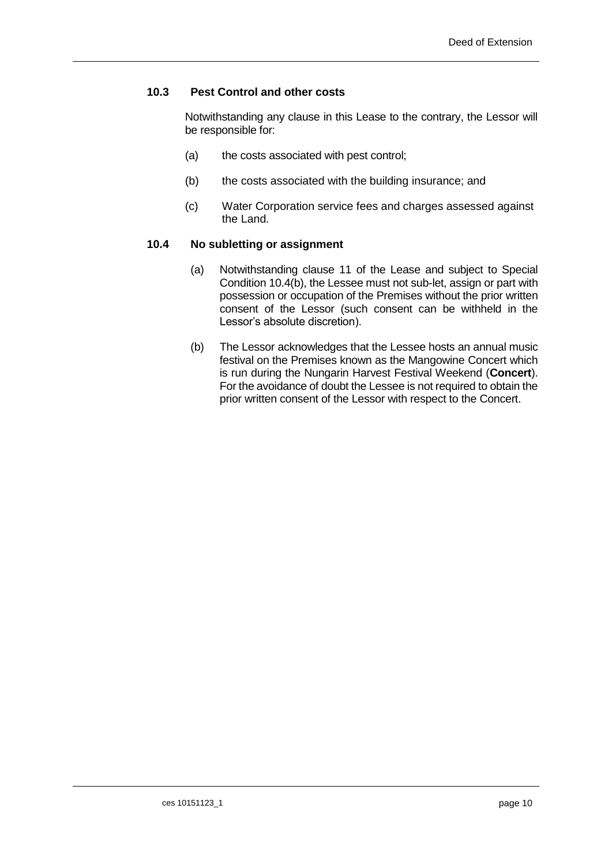#### **10.3 Pest Control and other costs**

Notwithstanding any clause in this Lease to the contrary, the Lessor will be responsible for:

- (a) the costs associated with pest control;
- (b) the costs associated with the building insurance; and
- (c) Water Corporation service fees and charges assessed against the Land.

#### **10.4 No subletting or assignment**

- (a) Notwithstanding clause 11 of the Lease and subject to Special Condition 10.4(b), the Lessee must not sub-let, assign or part with possession or occupation of the Premises without the prior written consent of the Lessor (such consent can be withheld in the Lessor's absolute discretion).
- (b) The Lessor acknowledges that the Lessee hosts an annual music festival on the Premises known as the Mangowine Concert which is run during the Nungarin Harvest Festival Weekend (**Concert**). For the avoidance of doubt the Lessee is not required to obtain the prior written consent of the Lessor with respect to the Concert.